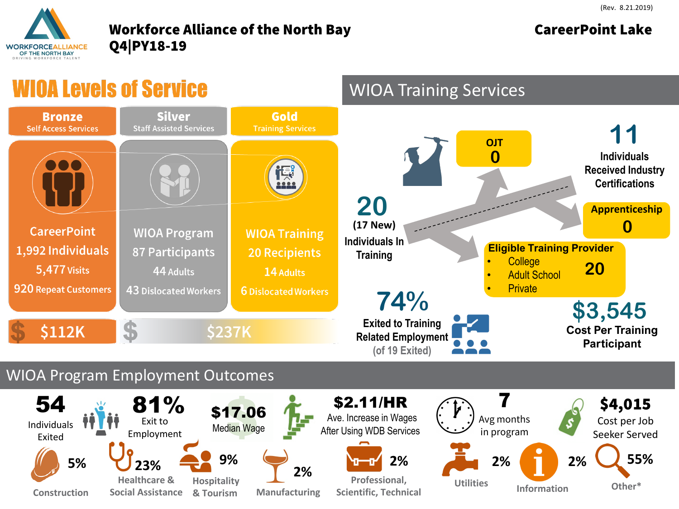## **WORKFORCEALLIANCE** OF THE NORTH BAY

## Workforce Alliance of the North Bay **CareerPoint Lake** Q4|PY18-19